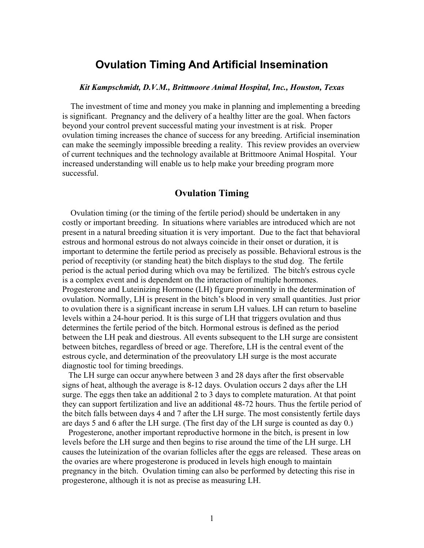## **Ovulation Timing And Artificial Insemination**

## *Kit Kampschmidt, D.V.M., Brittmoore Animal Hospital, Inc., Houston, Texas*

 The investment of time and money you make in planning and implementing a breeding is significant. Pregnancy and the delivery of a healthy litter are the goal. When factors beyond your control prevent successful mating your investment is at risk. Proper ovulation timing increases the chance of success for any breeding. Artificial insemination can make the seemingly impossible breeding a reality. This review provides an overview of current techniques and the technology available at Brittmoore Animal Hospital. Your increased understanding will enable us to help make your breeding program more successful.

## **Ovulation Timing**

 Ovulation timing (or the timing of the fertile period) should be undertaken in any costly or important breeding. In situations where variables are introduced which are not present in a natural breeding situation it is very important. Due to the fact that behavioral estrous and hormonal estrous do not always coincide in their onset or duration, it is important to determine the fertile period as precisely as possible. Behavioral estrous is the period of receptivity (or standing heat) the bitch displays to the stud dog. The fertile period is the actual period during which ova may be fertilized. The bitch's estrous cycle is a complex event and is dependent on the interaction of multiple hormones. Progesterone and Luteinizing Hormone (LH) figure prominently in the determination of ovulation. Normally, LH is present in the bitch's blood in very small quantities. Just prior to ovulation there is a significant increase in serum LH values. LH can return to baseline levels within a 24-hour period. It is this surge of LH that triggers ovulation and thus determines the fertile period of the bitch. Hormonal estrous is defined as the period between the LH peak and diestrous. All events subsequent to the LH surge are consistent between bitches, regardless of breed or age. Therefore, LH is the central event of the estrous cycle, and determination of the preovulatory LH surge is the most accurate diagnostic tool for timing breedings.

 The LH surge can occur anywhere between 3 and 28 days after the first observable signs of heat, although the average is 8-12 days. Ovulation occurs 2 days after the LH surge. The eggs then take an additional 2 to 3 days to complete maturation. At that point they can support fertilization and live an additional 48-72 hours. Thus the fertile period of the bitch falls between days 4 and 7 after the LH surge. The most consistently fertile days are days 5 and 6 after the LH surge. (The first day of the LH surge is counted as day 0.)

 Progesterone, another important reproductive hormone in the bitch, is present in low levels before the LH surge and then begins to rise around the time of the LH surge. LH causes the luteinization of the ovarian follicles after the eggs are released. These areas on the ovaries are where progesterone is produced in levels high enough to maintain pregnancy in the bitch. Ovulation timing can also be performed by detecting this rise in progesterone, although it is not as precise as measuring LH.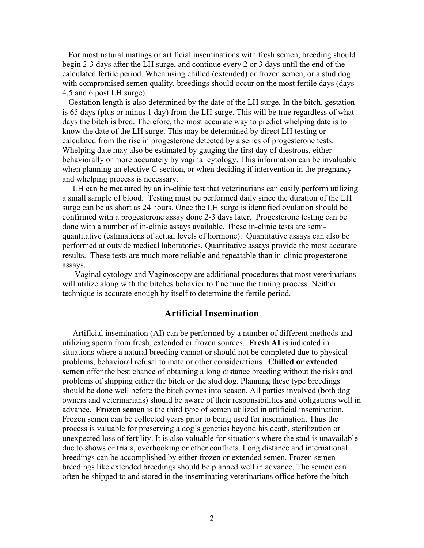For most natural matings or artificial inseminations with fresh semen, breeding should begin 2-3 days after the LH surge, and continue every 2 or 3 days until the end of the calculated fertile period. When using chilled (extended) or frozen semen, or a stud dog with compromised semen quality, breedings should occur on the most fertile days (days 4,5 and 6 post LH surge).

 Gestation length is also determined by the date of the LH surge. In the bitch, gestation is 65 days (plus or minus 1 day) from the LH surge. This will be true regardless of what days the bitch is bred. Therefore, the most accurate way to predict whelping date is to know the date of the LH surge. This may be determined by direct LH testing or calculated from the rise in progesterone detected by a series of progesterone tests. Whelping date may also be estimated by gauging the first day of diestrous, either behaviorally or more accurately by vaginal cytology. This information can be invaluable when planning an elective C-section, or when deciding if intervention in the pregnancy and whelping process is necessary.

 LH can be measured by an in-clinic test that veterinarians can easily perform utilizing a small sample of blood. Testing must be performed daily since the duration of the LH surge can be as short as 24 hours. Once the LH surge is identified ovulation should be confirmed with a progesterone assay done 2-3 days later. Progesterone testing can be done with a number of in-clinic assays available. These in-clinic tests are semiquantitative (estimations of actual levels of hormone). Quantitative assays can also be performed at outside medical laboratories. Quantitative assays provide the most accurate results. These tests are much more reliable and repeatable than in-clinic progesterone assays.

 Vaginal cytology and Vaginoscopy are additional procedures that most veterinarians will utilize along with the bitches behavior to fine tune the timing process. Neither technique is accurate enough by itself to determine the fertile period.

## **Artificial Insemination**

 Artificial insemination (AI) can be performed by a number of different methods and utilizing sperm from fresh, extended or frozen sources. **Fresh AI** is indicated in situations where a natural breeding cannot or should not be completed due to physical problems, behavioral refusal to mate or other considerations. **Chilled or extended semen** offer the best chance of obtaining a long distance breeding without the risks and problems of shipping either the bitch or the stud dog. Planning these type breedings should be done well before the bitch comes into season. All parties involved (both dog owners and veterinarians) should be aware of their responsibilities and obligations well in advance. **Frozen semen** is the third type of semen utilized in artificial insemination. Frozen semen can be collected years prior to being used for insemination. Thus the process is valuable for preserving a dog's genetics beyond his death, sterilization or unexpected loss of fertility. It is also valuable for situations where the stud is unavailable due to shows or trials, overbooking or other conflicts. Long distance and international breedings can be accomplished by either frozen or extended semen. Frozen semen breedings like extended breedings should be planned well in advance. The semen can often be shipped to and stored in the inseminating veterinarians office before the bitch